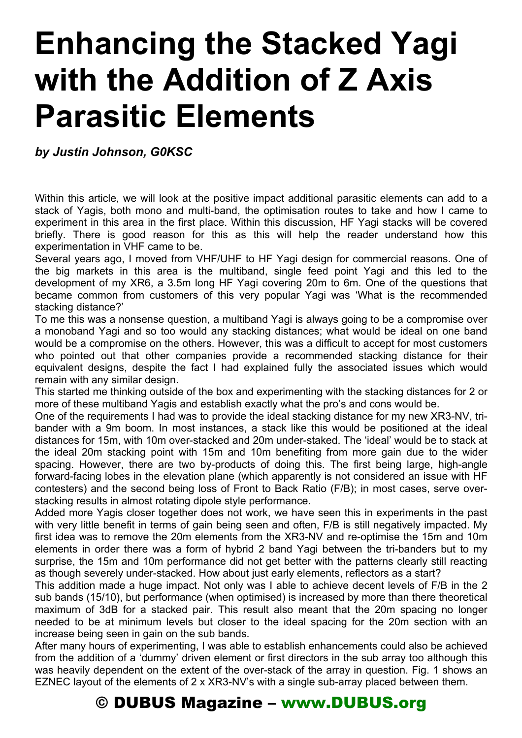# **Enhancing the Stacked Yagi with the Addition of Z Axis Parasitic Elements**

*by Justin Johnson, G0KSC* 

Within this article, we will look at the positive impact additional parasitic elements can add to a stack of Yagis, both mono and multi-band, the optimisation routes to take and how I came to experiment in this area in the first place. Within this discussion, HF Yagi stacks will be covered briefly. There is good reason for this as this will help the reader understand how this experimentation in VHF came to be.

Several years ago, I moved from VHF/UHF to HF Yagi design for commercial reasons. One of the big markets in this area is the multiband, single feed point Yagi and this led to the development of my XR6, a 3.5m long HF Yagi covering 20m to 6m. One of the questions that became common from customers of this very popular Yagi was 'What is the recommended stacking distance?'

To me this was a nonsense question, a multiband Yagi is always going to be a compromise over a monoband Yagi and so too would any stacking distances; what would be ideal on one band would be a compromise on the others. However, this was a difficult to accept for most customers who pointed out that other companies provide a recommended stacking distance for their equivalent designs, despite the fact I had explained fully the associated issues which would remain with any similar design.

This started me thinking outside of the box and experimenting with the stacking distances for 2 or more of these multiband Yagis and establish exactly what the pro's and cons would be.

One of the requirements I had was to provide the ideal stacking distance for my new XR3-NV, tribander with a 9m boom. In most instances, a stack like this would be positioned at the ideal distances for 15m, with 10m over-stacked and 20m under-staked. The 'ideal' would be to stack at the ideal 20m stacking point with 15m and 10m benefiting from more gain due to the wider spacing. However, there are two by-products of doing this. The first being large, high-angle forward-facing lobes in the elevation plane (which apparently is not considered an issue with HF contesters) and the second being loss of Front to Back Ratio (F/B); in most cases, serve overstacking results in almost rotating dipole style performance.

Added more Yagis closer together does not work, we have seen this in experiments in the past with very little benefit in terms of gain being seen and often, F/B is still negatively impacted. My first idea was to remove the 20m elements from the XR3-NV and re-optimise the 15m and 10m elements in order there was a form of hybrid 2 band Yagi between the tri-banders but to my surprise, the 15m and 10m performance did not get better with the patterns clearly still reacting as though severely under-stacked. How about just early elements, reflectors as a start?

This addition made a huge impact. Not only was I able to achieve decent levels of F/B in the 2 sub bands (15/10), but performance (when optimised) is increased by more than there theoretical maximum of 3dB for a stacked pair. This result also meant that the 20m spacing no longer needed to be at minimum levels but closer to the ideal spacing for the 20m section with an increase being seen in gain on the sub bands.

After many hours of experimenting, I was able to establish enhancements could also be achieved from the addition of a 'dummy' driven element or first directors in the sub array too although this was heavily dependent on the extent of the over-stack of the array in question. Fig. 1 shows an EZNEC layout of the elements of 2 x XR3-NV's with a single sub-array placed between them.

### © DUBUS Magazine – www.DUBUS.org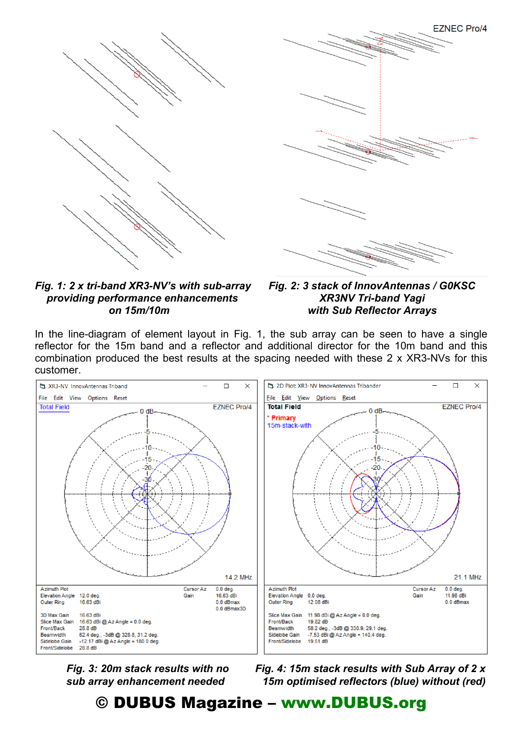



*Fig. 1: 2 x tri-band XR3-NV's with sub-array Fig. 2: 3 stack of InnovAntennas / G0KSC providing performance enhancements XR3NV Tri-band Yagi* 

 *on 15m/10m with Sub Reflector Arrays* 

In the line-diagram of element layout in Fig. 1, the sub array can be seen to have a single reflector for the 15m band and a reflector and additional director for the 10m band and this combination produced the best results at the spacing needed with these 2 x XR3-NVs for this customer.



 *Fig. 3: 20m stack results with no Fig. 4: 15m stack results with Sub Array of 2 x sub array enhancement needed 15m optimised reflectors (blue) without (red)* 

#### © DUBUS Magazine – www.DUBUS.org